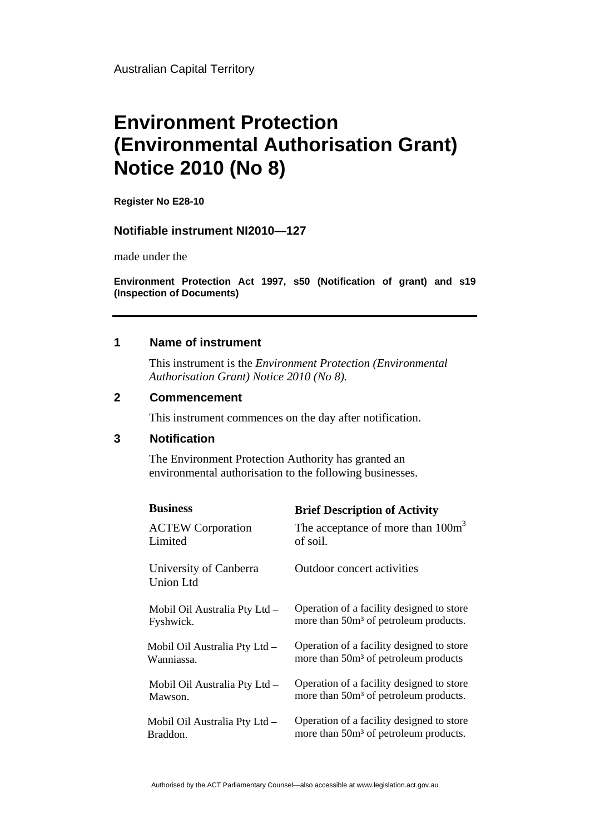Australian Capital Territory

# **Environment Protection (Environmental Authorisation Grant) Notice 2010 (No 8)**

**Register No E28-10** 

## **Notifiable instrument NI2010—127**

made under the

**Environment Protection Act 1997, s50 (Notification of grant) and s19 (Inspection of Documents)** 

## **1 Name of instrument**

This instrument is the *Environment Protection (Environmental Authorisation Grant) Notice 2010 (No 8).* 

#### **2 Commencement**

This instrument commences on the day after notification.

# **3 Notification**

The Environment Protection Authority has granted an environmental authorisation to the following businesses.

| <b>Business</b>                            | <b>Brief Description of Activity</b>              |
|--------------------------------------------|---------------------------------------------------|
| <b>ACTEW Corporation</b>                   | The acceptance of more than $100m3$               |
| Limited                                    | of soil.                                          |
| University of Canberra<br><b>Union Ltd</b> | Outdoor concert activities                        |
| Mobil Oil Australia Pty Ltd -              | Operation of a facility designed to store         |
| Fyshwick.                                  | more than 50m <sup>3</sup> of petroleum products. |
| Mobil Oil Australia Pty Ltd -              | Operation of a facility designed to store         |
| Wanniassa.                                 | more than 50m <sup>3</sup> of petroleum products  |
| Mobil Oil Australia Pty Ltd -              | Operation of a facility designed to store         |
| Mawson.                                    | more than 50m <sup>3</sup> of petroleum products. |
| Mobil Oil Australia Pty Ltd -              | Operation of a facility designed to store         |
| Braddon.                                   | more than 50m <sup>3</sup> of petroleum products. |